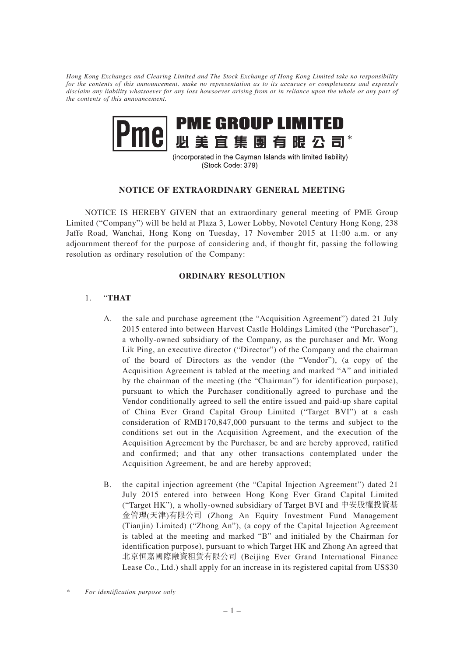*Hong Kong Exchanges and Clearing Limited and The Stock Exchange of Hong Kong Limited take no responsibility for the contents of this announcement, make no representation as to its accuracy or completeness and expressly disclaim any liability whatsoever for any loss howsoever arising from or in reliance upon the whole or any part of the contents of this announcement.*



(incorporated in the Cayman Islands with limited liability) (Stock Code: 379)

## **NOTICE OF EXTRAORDINARY GENERAL MEETING**

NOTICE IS HEREBY GIVEN that an extraordinary general meeting of PME Group Limited ("Company") will be held at Plaza 3, Lower Lobby, Novotel Century Hong Kong, 238 Jaffe Road, Wanchai, Hong Kong on Tuesday, 17 November 2015 at 11:00 a.m. or any adjournment thereof for the purpose of considering and, if thought fit, passing the following resolution as ordinary resolution of the Company:

## **ORDINARY RESOLUTION**

## 1. "**THAT**

- A. the sale and purchase agreement (the "Acquisition Agreement") dated 21 July 2015 entered into between Harvest Castle Holdings Limited (the "Purchaser"), a wholly-owned subsidiary of the Company, as the purchaser and Mr. Wong Lik Ping, an executive director ("Director") of the Company and the chairman of the board of Directors as the vendor (the "Vendor"), (a copy of the Acquisition Agreement is tabled at the meeting and marked "A" and initialed by the chairman of the meeting (the "Chairman") for identification purpose), pursuant to which the Purchaser conditionally agreed to purchase and the Vendor conditionally agreed to sell the entire issued and paid-up share capital of China Ever Grand Capital Group Limited ("Target BVI") at a cash consideration of RMB170,847,000 pursuant to the terms and subject to the conditions set out in the Acquisition Agreement, and the execution of the Acquisition Agreement by the Purchaser, be and are hereby approved, ratified and confirmed; and that any other transactions contemplated under the Acquisition Agreement, be and are hereby approved;
- B. the capital injection agreement (the "Capital Injection Agreement") dated 21 July 2015 entered into between Hong Kong Ever Grand Capital Limited ("Target HK"), a wholly-owned subsidiary of Target BVI and 中安股權投資基 金管理(天津)有限公司 (Zhong An Equity Investment Fund Management (Tianjin) Limited) ("Zhong An"), (a copy of the Capital Injection Agreement is tabled at the meeting and marked "B" and initialed by the Chairman for identification purpose), pursuant to which Target HK and Zhong An agreed that 北京恒嘉國際融資租賃有限公司 (Beijing Ever Grand International Finance Lease Co., Ltd.) shall apply for an increase in its registered capital from US\$30

*<sup>\*</sup> For identification purpose only*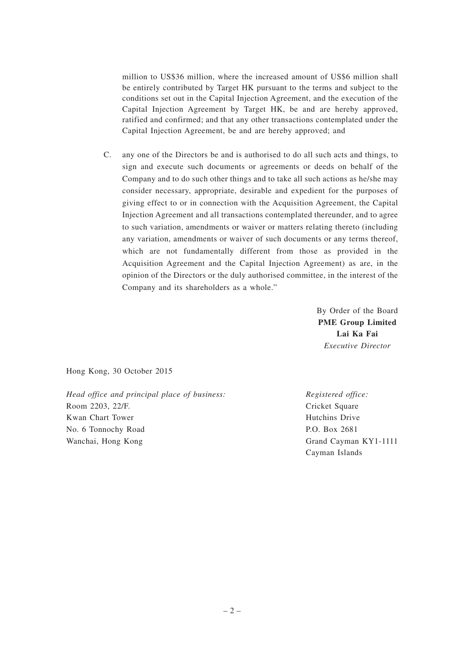million to US\$36 million, where the increased amount of US\$6 million shall be entirely contributed by Target HK pursuant to the terms and subject to the conditions set out in the Capital Injection Agreement, and the execution of the Capital Injection Agreement by Target HK, be and are hereby approved, ratified and confirmed; and that any other transactions contemplated under the Capital Injection Agreement, be and are hereby approved; and

C. any one of the Directors be and is authorised to do all such acts and things, to sign and execute such documents or agreements or deeds on behalf of the Company and to do such other things and to take all such actions as he/she may consider necessary, appropriate, desirable and expedient for the purposes of giving effect to or in connection with the Acquisition Agreement, the Capital Injection Agreement and all transactions contemplated thereunder, and to agree to such variation, amendments or waiver or matters relating thereto (including any variation, amendments or waiver of such documents or any terms thereof, which are not fundamentally different from those as provided in the Acquisition Agreement and the Capital Injection Agreement) as are, in the opinion of the Directors or the duly authorised committee, in the interest of the Company and its shareholders as a whole."

> By Order of the Board **PME Group Limited Lai Ka Fai** *Executive Director*

Hong Kong, 30 October 2015

*Head office and principal place of business:* Room 2203, 22/F. Kwan Chart Tower No. 6 Tonnochy Road Wanchai, Hong Kong

*Registered office:* Cricket Square Hutchins Drive P.O. Box 2681 Grand Cayman KY1-1111 Cayman Islands